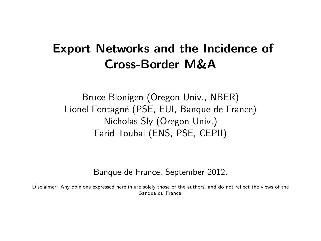#### Export Networks and the Incidence of Cross-Border M&A

Bruce Blonigen (Oregon Univ., NBER) Lionel Fontagné (PSE, EUI, Banque de France) Nicholas Sly (Oregon Univ.) Farid Toubal (ENS, PSE, CEPII)

Banque de France, September 2012.

<span id="page-0-0"></span>Disclaimer: Any opinions expressed here in are solely those of the authors, and do not reflect the views of the Banque du France.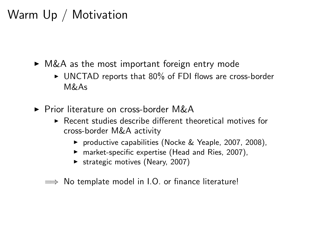## Warm Up / Motivation

- $\triangleright$  M&A as the most important foreign entry mode
	- $\triangleright$  UNCTAD reports that 80% of FDI flows are cross-border M&As
- $\triangleright$  Prior literature on cross-border M&A
	- $\triangleright$  Recent studies describe different theoretical motives for cross-border M&A activity
		- ▶ productive capabilities (Nocke & Yeaple, 2007, 2008),
		- $\blacktriangleright$  market-specific expertise (Head and Ries, 2007),
		- $\blacktriangleright$  strategic motives (Neary, 2007)
	- $\implies$  No template model in I.O. or finance literature!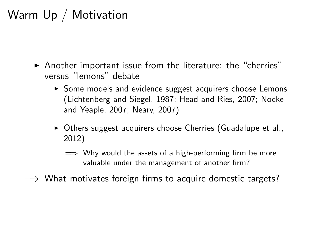## Warm Up / Motivation

- $\triangleright$  Another important issue from the literature: the "cherries" versus "lemons" debate
	- ▶ Some models and evidence suggest acquirers choose Lemons (Lichtenberg and Siegel, 1987; Head and Ries, 2007; Nocke and Yeaple, 2007; Neary, 2007)
	- $\triangleright$  Others suggest acquirers choose Cherries (Guadalupe et al., 2012)

 $\implies$  Why would the assets of a high-performing firm be more valuable under the management of another firm?

 $\implies$  What motivates foreign firms to acquire domestic targets?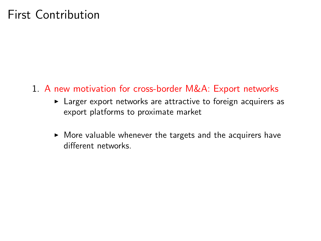### First Contribution

#### 1. A new motivation for cross-border M&A: Export networks

- $\triangleright$  Larger export networks are attractive to foreign acquirers as export platforms to proximate market
- $\triangleright$  More valuable whenever the targets and the acquirers have different networks.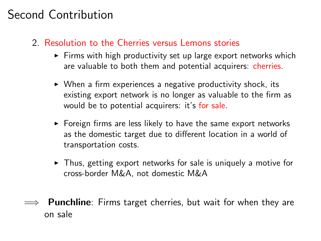#### Second Contribution

#### 2. Resolution to the Cherries versus Lemons stories

- $\triangleright$  Firms with high productivity set up large export networks which are valuable to both them and potential acquirers: cherries.
- $\triangleright$  When a firm experiences a negative productivity shock, its existing export network is no longer as valuable to the firm as would be to potential acquirers: it's for sale.
- $\triangleright$  Foreign firms are less likely to have the same export networks as the domestic target due to different location in a world of transportation costs.
- $\triangleright$  Thus, getting export networks for sale is uniquely a motive for cross-border M&A, not domestic M&A
- $\implies$  **Punchline**: Firms target cherries, but wait for when they are on sale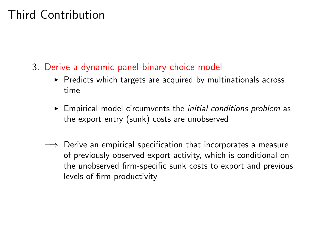### Third Contribution

- 3. Derive a dynamic panel binary choice model
	- $\triangleright$  Predicts which targets are acquired by multinationals across time
	- $\triangleright$  Empirical model circumvents the *initial conditions problem* as the export entry (sunk) costs are unobserved
	- $\implies$  Derive an empirical specification that incorporates a measure of previously observed export activity, which is conditional on the unobserved firm-specific sunk costs to export and previous levels of firm productivity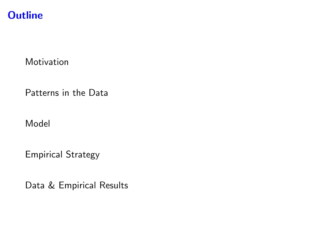#### **Outline**

[Motivation](#page-0-0)

[Patterns in the Data](#page-7-0)

[Model](#page-8-0)

[Empirical Strategy](#page-20-0)

[Data & Empirical Results](#page-23-0)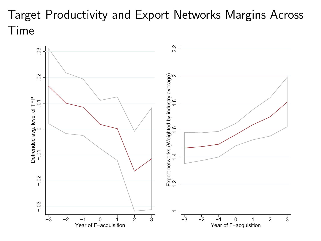### Target Productivity and Export Networks Margins Across Time

<span id="page-7-0"></span>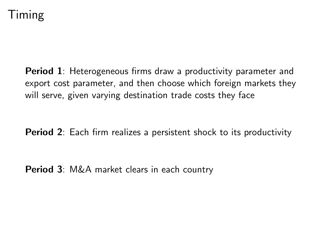#### Timing

**Period 1:** Heterogeneous firms draw a productivity parameter and export cost parameter, and then choose which foreign markets they will serve, given varying destination trade costs they face

Period 2: Each firm realizes a persistent shock to its productivity

<span id="page-8-0"></span>Period 3: M&A market clears in each country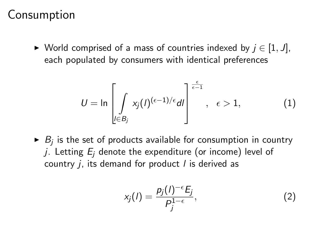#### Consumption

► World comprised of a mass of countries indexed by  $j \in [1, J]$ , each populated by consumers with identical preferences

$$
U = \ln \left[ \int\limits_{l \in B_j} x_j(l)^{(\epsilon - 1)/\epsilon} dl \right]^{\frac{\epsilon}{\epsilon - 1}}, \quad \epsilon > 1,
$$
 (1)

 $\blacktriangleright$   $B_j$  is the set of products available for consumption in country j. Letting  $E_i$  denote the expenditure (or income) level of country  $i$ , its demand for product  $l$  is derived as

$$
x_j(l) = \frac{p_j(l)^{-\epsilon} E_j}{P_j^{1-\epsilon}},\tag{2}
$$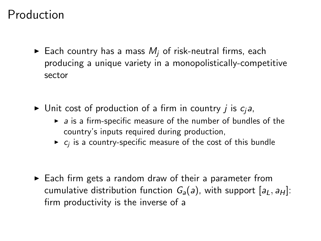#### Production

- Each country has a mass  $M_i$  of risk-neutral firms, each producing a unique variety in a monopolistically-competitive sector
- In Unit cost of production of a firm in country *j* is  $c_i$ *a*,
	- $\triangleright$  a is a firm-specific measure of the number of bundles of the country's inputs required during production,
	- $\blacktriangleright$   $\epsilon_j$  is a country-specific measure of the cost of this bundle

 $\blacktriangleright$  Each firm gets a random draw of their a parameter from cumulative distribution function  $G_a(a)$ , with support  $[a_L, a_H]$ : firm productivity is the inverse of a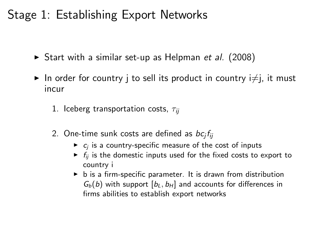### Stage 1: Establishing Export Networks

- $\triangleright$  Start with a similar set-up as Helpman et al. (2008)
- In order for country j to sell its product in country  $i\neq j$ , it must incur
	- 1. Iceberg transportation costs,  $\tau_{ii}$
	- 2. One-time sunk costs are defined as  $bc<sub>i</sub>f<sub>ii</sub>$ 
		- $\triangleright$  c<sub>i</sub> is a country-specific measure of the cost of inputs
		- $\triangleright$   $f_{ii}$  is the domestic inputs used for the fixed costs to export to country i
		- $\triangleright$  b is a firm-specific parameter. It is drawn from distribution  $G_b(b)$  with support  $[b_L, b_H]$  and accounts for differences in firms abilities to establish export networks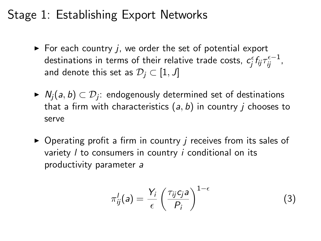#### Stage 1: Establishing Export Networks

- $\triangleright$  For each country *i*, we order the set of potential export destinations in terms of their relative trade costs,  $\, c_j^{\epsilon} f_{ij} \tau_{ij}^{\epsilon-1} , \,$ and denote this set as  $\mathcal{D}_i \subset [1, J]$
- $\blacktriangleright \hspace{0.15cm} \mathcal{N}_{j}(a,b) \subset \mathcal{D}_{j}$ : endogenously determined set of destinations that a firm with characteristics  $(a, b)$  in country *j* chooses to serve
- $\triangleright$  Operating profit a firm in country *i* receives from its sales of variety  $\ell$  to consumers in country  $\ell$  conditional on its productivity parameter a

$$
\pi_{ij}^l(a) = \frac{Y_i}{\epsilon} \left( \frac{\tau_{ij} c_j a}{P_i} \right)^{1-\epsilon} \tag{3}
$$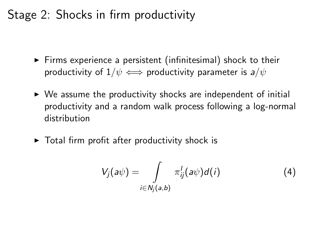### Stage 2: Shocks in firm productivity

- $\triangleright$  Firms experience a persistent (infinitesimal) shock to their productivity of  $1/\psi \iff$  productivity parameter is  $a/\psi$
- $\triangleright$  We assume the productivity shocks are independent of initial productivity and a random walk process following a log-normal distribution
- $\triangleright$  Total firm profit after productivity shock is

$$
V_j(a\psi) = \int\limits_{i \in N_j(a,b)} \pi_{ij}^l(a\psi) d(i) \tag{4}
$$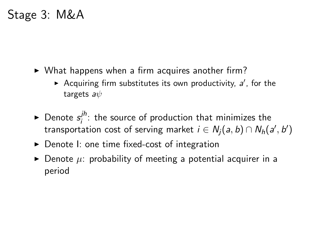#### Stage 3: M&A

- $\triangleright$  What happens when a firm acquires another firm?
	- Acquiring firm substitutes its own productivity,  $a'$ , for the targets  $a\psi$
- $\blacktriangleright$  Denote  $s_i^{jh}$  $j''$ : the source of production that minimizes the transportation cost of serving market  $i\in N_j(a,b)\cap N_h(a',b')$
- $\triangleright$  Denote I: one time fixed-cost of integration
- $\triangleright$  Denote  $\mu$ : probability of meeting a potential acquirer in a period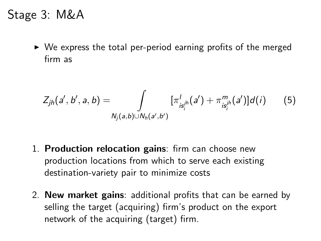Stage 3: M&A

 $\triangleright$  We express the total per-period earning profits of the merged firm as

$$
Z_{jh}(a',b',a,b)=\int\limits_{N_j(a,b)\cup N_h(a',b')}[\pi_{is_i^{jh}}^l(a')+\pi_{is_i^{jh}}^m(a')]d(i) \qquad (5)
$$

- 1. Production relocation gains: firm can choose new production locations from which to serve each existing destination-variety pair to minimize costs
- 2. New market gains: additional profits that can be earned by selling the target (acquiring) firm's product on the export network of the acquiring (target) firm.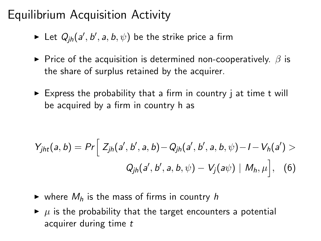### Equilibrium Acquisition Activity

- $\blacktriangleright$  Let  $Q_{jh}(a',b',a,b,\psi)$  be the strike price a firm
- ► Price of the acquisition is determined non-cooperatively.  $\beta$  is the share of surplus retained by the acquirer.
- $\triangleright$  Express the probability that a firm in country j at time t will be acquired by a firm in country h as

$$
Y_{jht}(a, b) = Pr \left[ Z_{jh}(a', b', a, b) - Q_{jh}(a', b', a, b, \psi) - I - V_h(a') \right] \times
$$
  
 
$$
Q_{jh}(a', b', a, b, \psi) - V_j(a\psi) | M_h, \mu \right], \quad (6)
$$

- $\triangleright$  where  $M_h$  is the mass of firms in country h
- $\triangleright$   $\mu$  is the probability that the target encounters a potential acquirer during time t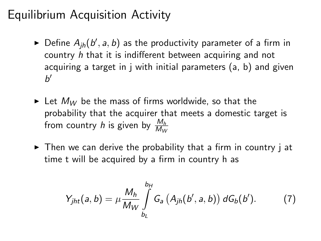#### Equilibrium Acquisition Activity

- $\blacktriangleright$  Define  $A_{jh}(b',a,b)$  as the productivity parameter of a firm in country h that it is indifferent between acquiring and not acquiring a target in j with initial parameters (a, b) and given  $b^{\prime}$
- In Let  $M_W$  be the mass of firms worldwide, so that the probability that the acquirer that meets a domestic target is from country  $h$  is given by  $\frac{M_h}{M_W}$
- $\triangleright$  Then we can derive the probability that a firm in country j at time t will be acquired by a firm in country h as

$$
Y_{jht}(a,b) = \mu \frac{M_h}{M_W} \int_{b_L}^{b_H} G_a (A_{jh}(b', a, b)) dG_b(b').
$$
 (7)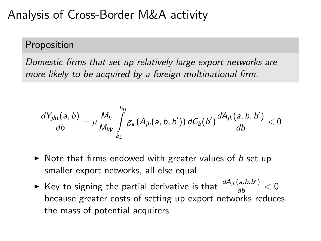#### Analysis of Cross-Border M&A activity

**Proposition** 

Domestic firms that set up relatively large export networks are more likely to be acquired by a foreign multinational firm.

$$
\frac{dY_{jht}(a,b)}{db}=\mu\frac{M_h}{M_W}\int\limits_{b_L}^{b_H}g_a\left(A_{jh}(a,b,b')\right)dG_b(b')\frac{dA_{jh}(a,b,b')}{db}<0
$$

- $\triangleright$  Note that firms endowed with greater values of b set up smaller export networks, all else equal
- $\blacktriangleright$  Key to signing the partial derivative is that  $\frac{dA_{jh}(a,b,b')}{db} < 0$ because greater costs of setting up export networks reduces the mass of potential acquirers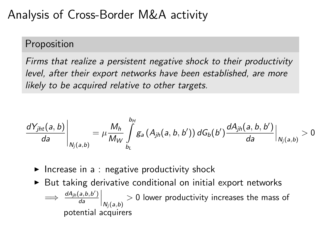#### Analysis of Cross-Border M&A activity

#### Proposition

Firms that realize a persistent negative shock to their productivity level, after their export networks have been established, are more likely to be acquired relative to other targets.

$$
\left.\frac{dY_{jht}(a,b)}{da}\right|_{N_{j}(a,b)} = \mu \frac{M_{h}}{M_{W}}\int\limits_{b_{L}}^{b_{H}} g_{a}\left(A_{jh}(a,b,b^{\prime})\right)dG_{b}(b^{\prime})\frac{dA_{jh}(a,b,b^{\prime})}{da}\Big|_{N_{j}(a,b)} > 0
$$

- Increase in a : negative productivity shock
- $\triangleright$  But taking derivative conditional on initial export networks

 $\implies$   $\frac{dA_{jh}(a,b,b')}{da}$ da  $\overline{\phantom{a}}$  $\overline{\phantom{a}}$  $\overline{\phantom{a}}$  $N_j(a,b)$  $> 0$  lower productivity increases the mass of potential acquirers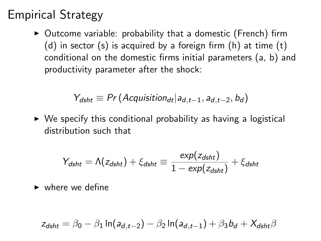#### Empirical Strategy

 $\triangleright$  Outcome variable: probability that a domestic (French) firm (d) in sector  $(s)$  is acquired by a foreign firm  $(h)$  at time  $(t)$ conditional on the domestic firms initial parameters (a, b) and productivity parameter after the shock:

$$
Y_{\text{dsht}} \equiv Pr\left(\text{Acquisition}_{\text{dt}}|a_{d,t-1}, a_{d,t-2}, b_d\right)
$$

 $\triangleright$  We specify this conditional probability as having a logistical distribution such that

$$
Y_{\text{d} s \text{h} t} = \Lambda(z_{\text{d} s \text{h} t}) + \xi_{\text{d} s \text{h} t} \equiv \frac{\exp(z_{\text{d} s \text{h} t})}{1 - \exp(z_{\text{d} s \text{h} t})} + \xi_{\text{d} s \text{h} t}
$$

 $\blacktriangleright$  where we define

<span id="page-20-0"></span>
$$
z_{\text{dsht}} = \beta_0 - \beta_1 \ln(a_{d,t-2}) - \beta_2 \ln(a_{d,t-1}) + \beta_3 b_d + X_{\text{dsht}}\beta
$$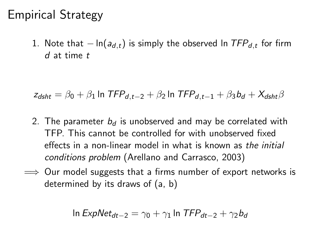#### Empirical Strategy

1. Note that  $-\ln(a_{d,t})$  is simply the observed In  $\mathcal{TFP}_{d,t}$  for firm d at time t

 $z_{\text{dsht}} = \beta_0 + \beta_1 \ln \text{TFP}_{d,t-2} + \beta_2 \ln \text{TFP}_{d,t-1} + \beta_3 b_d + X_{\text{dsht}} \beta$ 

- 2. The parameter  $b_d$  is unobserved and may be correlated with TFP. This cannot be controlled for with unobserved fixed effects in a non-linear model in what is known as the initial conditions problem (Arellano and Carrasco, 2003)
- $\implies$  Our model suggests that a firms number of export networks is determined by its draws of (a, b)

$$
\ln ExpNet_{dt-2} = \gamma_0 + \gamma_1 \ln TFP_{dt-2} + \gamma_2 b_d
$$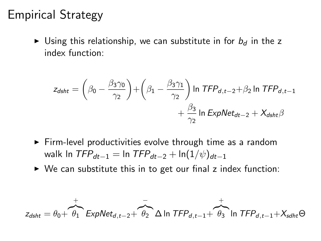#### Empirical Strategy

If Using this relationship, we can substitute in for  $b_d$  in the z index function:

$$
z_{\text{dsht}} = \left(\beta_0 - \frac{\beta_3 \gamma_0}{\gamma_2}\right) + \left(\beta_1 - \frac{\beta_3 \gamma_1}{\gamma_2}\right) \ln \text{TFP}_{d,t-2} + \beta_2 \ln \text{TFP}_{d,t-1} + \frac{\beta_3}{\gamma_2} \ln \text{ExpNet}_{dt-2} + X_{\text{dsht}}\beta
$$

- $\triangleright$  Firm-level productivities evolve through time as a random walk ln  $TFP_{dt-1} = \ln TFP_{dt-2} + \ln(1/\psi)_{dt-1}$
- $\triangleright$  We can substitute this in to get our final z index function:

$$
z_{\text{dsht}} = \theta_0 + \overbrace{\theta_1}^+ \overbrace{\text{ExpNet}_{d,t-2} + \theta_2}^+ \overbrace{\theta_2}^+ \Delta \ln \text{TFP}_{d,t-1} + \overbrace{\theta_3}^+ \ln \text{TFP}_{d,t-1} + X_{\text{sdht}} \Theta
$$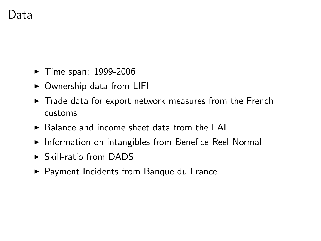#### Data

- $\blacktriangleright$  Time span: 1999-2006
- $\triangleright$  Ownership data from LIFI
- $\blacktriangleright$  Trade data for export network measures from the French customs
- $\triangleright$  Balance and income sheet data from the EAE
- $\blacktriangleright$  Information on intangibles from Benefice Reel Normal
- $\triangleright$  Skill-ratio from DADS
- <span id="page-23-0"></span>▶ Payment Incidents from Banque du France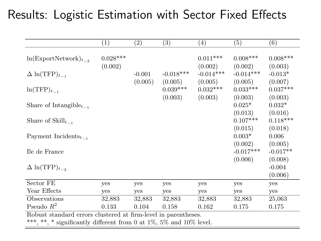# Results: Logistic Estimation with Sector Fixed Effects Table 2: Results: Logistic Estimation with Sector Fixed Effects

|                                                                    | $\left(1\right)$      | $\left( 2\right)$ | $\left( 3\right)$                | (4)                              | (5)                               | (6)                                   |
|--------------------------------------------------------------------|-----------------------|-------------------|----------------------------------|----------------------------------|-----------------------------------|---------------------------------------|
| $ln($ ExportNetwork $)_{t=2}$                                      | $0.028***$<br>(0.002) |                   |                                  | $0.011***$<br>(0.002)            | $0.008***$<br>(0.002)             | $0.008***$<br>(0.003)                 |
| $\Delta \ln(\text{TFP})_{t_{-1}}$                                  |                       | $-0.001$          | $-0.018***$                      | $-0.014***$                      | $-0.014***$                       | $-0.013*$                             |
| $\ln(\text{TFP})_{t_{-1}}$                                         |                       | (0.005)           | (0.005)<br>$0.039***$<br>(0.003) | (0.005)<br>$0.032***$<br>(0.003) | (0.005)<br>$0.033***$<br>(0.003)  | (0.007)<br>$0.037^{***}\;$<br>(0.003) |
| Share of Intangible $t_{-1}$                                       |                       |                   |                                  |                                  | $0.025*$                          | $0.032*$                              |
| Share of $\text{Skill}_t$ ,                                        |                       |                   |                                  |                                  | (0.013)<br>$0.107***$<br>(0.015)  | (0.016)<br>$0.118***$<br>(0.018)      |
| Payment Incidents <sub><math>t_{-1}</math></sub>                   |                       |                   |                                  |                                  | $0.003*$                          | 0.006                                 |
| Ile de France                                                      |                       |                   |                                  |                                  | (0.002)<br>$-0.017***$<br>(0.006) | (0.005)<br>$-0.017**$<br>(0.008)      |
| $\Delta \ln(\text{TFP})_{t_{-2}}$                                  |                       |                   |                                  |                                  |                                   | $-0.004$<br>(0.006)                   |
| Sector FE                                                          | yes                   | yes               | yes                              | yes                              | yes                               | yes                                   |
| Year Effects                                                       | yes                   | yes               | yes                              | yes                              | yes                               | yes                                   |
| Observations                                                       | 32,883                | 32,883            | 32,883                           | 32,883                           | 32,883                            | 25,063                                |
| Pseudo $R^2$                                                       | 0.133                 | 0.104             | 0.158                            | 0.162                            | 0.175                             | 0.175                                 |
| Robust standard errors clustered at firm-level in parentheses.     |                       |                   |                                  |                                  |                                   |                                       |
| ***, **, * significantly different from 0 at 1%, 5% and 10% level. |                       |                   |                                  |                                  |                                   |                                       |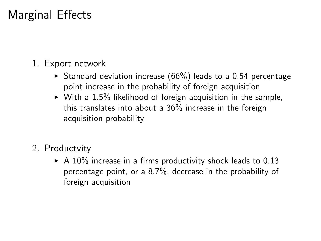### Marginal Effects

- 1. Export network
	- $\triangleright$  Standard deviation increase (66%) leads to a 0.54 percentage point increase in the probability of foreign acquisition
	- $\triangleright$  With a 1.5% likelihood of foreign acquisition in the sample, this translates into about a 36% increase in the foreign acquisition probability
- 2. Productvity
	- $\triangleright$  A 10% increase in a firms productivity shock leads to 0.13 percentage point, or a 8.7%, decrease in the probability of foreign acquisition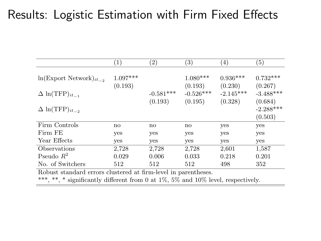#### Results: Logistic Estimation with Firm Fixed Effects

|                                                                | $\left(1\right)$       | $\scriptstyle{(2)}$ | $\left( 3\right)$      | (4)                   | (5)                   |  |  |
|----------------------------------------------------------------|------------------------|---------------------|------------------------|-----------------------|-----------------------|--|--|
| $ln($ Export Network $)_{it}$                                  | $1.097***$<br>(0.193)  |                     | $1.080***$<br>(0.193)  | $0.936***$<br>(0.230) | $0.732***$<br>(0.267) |  |  |
| $\Delta \ln(\text{TFP})_{it=1}$                                |                        | $-0.581***$         | $-0.526***$            | $-2.145***$           | $-3.488***$           |  |  |
|                                                                |                        | (0.193)             | (0.195)                | (0.328)               | (0.684)               |  |  |
| $\Delta \ln(\text{TFP})_{it=2}$                                |                        |                     |                        |                       | $-2.288***$           |  |  |
|                                                                |                        |                     |                        |                       | (0.503)               |  |  |
| Firm Controls                                                  | $\mathbf{n}\mathbf{o}$ | no                  | $\mathbf{n}\mathbf{o}$ | yes                   | yes                   |  |  |
| Firm FE                                                        | yes                    | yes                 | yes                    | yes                   | yes                   |  |  |
| Year Effects                                                   | yes                    | yes                 | yes                    | yes                   | yes                   |  |  |
| Observations                                                   | 2,728                  | 2,728               | 2,728                  | 2,601                 | 1,587                 |  |  |
| Pseudo $R^2$                                                   | 0.029                  | 0.006               | 0.033                  | 0.218                 | 0.201                 |  |  |
| No. of Switchers                                               | 512                    | 512                 | 512                    | 498                   | 352                   |  |  |
| Robust standard errors clustered at firm-level in parentheses. |                        |                     |                        |                       |                       |  |  |

 $*^*$ , \* significantly different from 0 at  $1\%$ ,  $5\%$  and  $10\%$  level, respectively.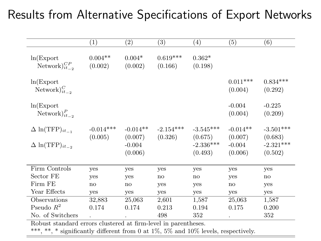# Results from Alternative Specifications of Export Networks Table 5: Results from Alternative Specifications of Export Networks

|                                                                    | $^{(1)}$                      | $\left( 2\right)$                            | $\left( 3\right)$      | $\left(4\right)$                                 | $\left( 5\right)$                            | $\left( 6\right)$                                |
|--------------------------------------------------------------------|-------------------------------|----------------------------------------------|------------------------|--------------------------------------------------|----------------------------------------------|--------------------------------------------------|
| ln(Expert)<br>Network) ${}_{it}^{CP}$                              | $0.004**$<br>(0.002)          | $0.004*$<br>(0.002)                          | $0.619***$<br>(0.166)  | $0.362*$<br>(0.198)                              |                                              |                                                  |
| ln(Expert)<br>Network $)_{it=2}^C$                                 |                               |                                              |                        |                                                  | $0.011***$<br>(0.004)                        | $0.834***$<br>(0.292)                            |
| ln(Expert)<br>Network) $_{it}^{P}$                                 |                               |                                              |                        |                                                  | $-0.004$<br>(0.004)                          | $-0.225$<br>(0.209)                              |
| $\Delta \ln(\text{TFP})_{it=1}$<br>$\Delta \ln(\text{TFP})_{it=2}$ | $-0.014***$<br>(0.005)        | $-0.014**$<br>(0.007)<br>$-0.004$<br>(0.006) | $-2.154***$<br>(0.326) | $-3.545***$<br>(0.675)<br>$-2.336***$<br>(0.493) | $-0.014**$<br>(0.007)<br>$-0.004$<br>(0.006) | $-3.501***$<br>(0.683)<br>$-2.321***$<br>(0.502) |
| Firm Controls                                                      | ves                           | yes                                          | ves                    | yes                                              | yes                                          | yes                                              |
| Sector FE                                                          | yes                           | yes                                          | $\mathbf{n}$           | no                                               | yes                                          | $\mathbf{n}$                                     |
| Firm FE                                                            | no                            | no                                           | yes                    | yes                                              | $\mathbf{n}\mathbf{o}$                       | yes                                              |
| Year Effects                                                       | yes                           | yes                                          | yes                    | yes                                              | yes                                          | yes                                              |
| Observations                                                       | 32,883                        | 25,063                                       | 2,601                  | 1,587                                            | 25,063                                       | 1,587                                            |
| Pseudo $R^2$                                                       | 0.174                         | 0.174                                        | 0.213                  | 0.194                                            | 0.175                                        | 0.200                                            |
| No. of Switchers<br>n 1 <i>1</i> 1 1                               | $\mathbf{1}$ and $\mathbf{1}$ | $1 + 6$                                      | 498<br>$\cdots$        | 352<br>$\cdot$ 1                                 |                                              | 352                                              |

Robust standard errors clustered at firm-level in parentheses.

\*\*\*, \*\*, \* significantly different from 0 at 1%, 5% and 10% levels, respectively.